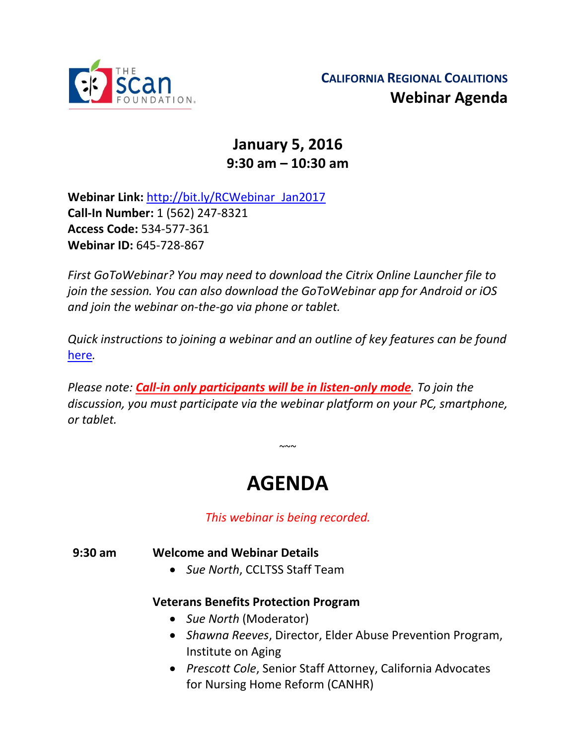

## **January 5, 2016 9:30 am – 10:30 am**

**Webinar Link:** [http://bit.ly/RCWebinar\\_Jan2017](http://bit.ly/RCWebinar_Jan2017) **Call-In Number:** 1 (562) 247-8321 **Access Code:** 534-577-361 **Webinar ID:** 645-728-867

*First GoToWebinar? You may need to download the Citrix Online Launcher file to join the session. You can also download the GoToWebinar app for Android or iOS and join the webinar on-the-go via phone or tablet.* 

*Quick instructions to joining a webinar and an outline of key features can be found*  [here](http://thescanfoundationsummit.homestead.com/GoToWebinar_Participant_Guide_3.pdf)*.*

*Please note: Call-in only participants will be in listen-only mode. To join the discussion, you must participate via the webinar platform on your PC, smartphone, or tablet.* 

# **AGENDA**

 $\sim$   $\sim$ 

*This webinar is being recorded.*

**9:30 am Welcome and Webinar Details**

*Sue North*, CCLTSS Staff Team

### **Veterans Benefits Protection Program**

- *Sue North* (Moderator)
- *Shawna Reeves*, Director, Elder Abuse Prevention Program, Institute on Aging
- *Prescott Cole*, Senior Staff Attorney, California Advocates for Nursing Home Reform (CANHR)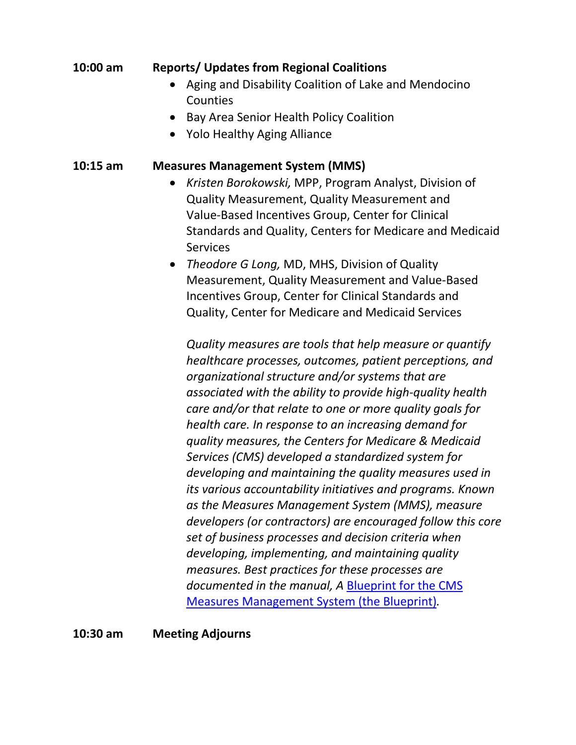#### **10:00 am Reports/ Updates from Regional Coalitions**

- Aging and Disability Coalition of Lake and Mendocino **Counties**
- Bay Area Senior Health Policy Coalition
- Yolo Healthy Aging Alliance

#### **10:15 am Measures Management System (MMS)**

- *Kristen Borokowski,* MPP, Program Analyst, Division of Quality Measurement, Quality Measurement and Value-Based Incentives Group, Center for Clinical Standards and Quality, Centers for Medicare and Medicaid **Services**
- *Theodore G Long,* MD, MHS, Division of Quality Measurement, Quality Measurement and Value-Based Incentives Group, Center for Clinical Standards and Quality, Center for Medicare and Medicaid Services

*Quality measures are tools that help measure or quantify healthcare processes, outcomes, patient perceptions, and organizational structure and/or systems that are associated with the ability to provide high-quality health care and/or that relate to one or more quality goals for health care. In response to an increasing demand for quality measures, the Centers for Medicare & Medicaid Services (CMS) developed a standardized system for developing and maintaining the quality measures used in its various accountability initiatives and programs. Known as the Measures Management System (MMS), measure developers (or contractors) are encouraged follow this core set of business processes and decision criteria when developing, implementing, and maintaining quality measures. Best practices for these processes are documented in the manual, A* [Blueprint for the CMS](https://www.cms.gov/Medicare/Quality-Initiatives-Patient-Assessment-Instruments/MMS/MMS-Blueprint.html)  [Measures Management System \(the Blueprint\)](https://www.cms.gov/Medicare/Quality-Initiatives-Patient-Assessment-Instruments/MMS/MMS-Blueprint.html)*.*